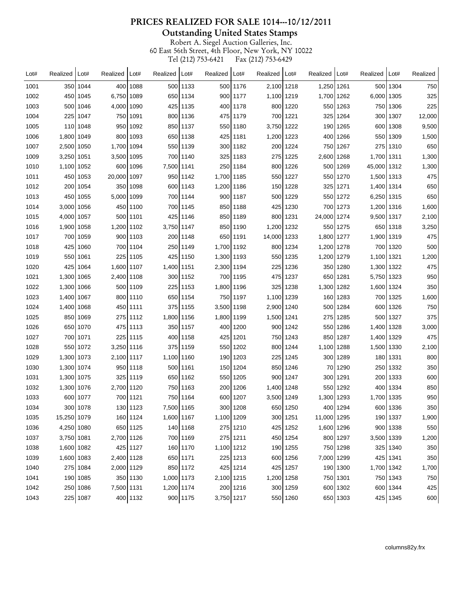**Outstanding United States Stamps** 

| Lot# | Realized     | $ $ Lot# | Realized     | Lot#       | Realized   Lot# |          | Realized   Lot# |            | Realized      | Lot#       | Realized     | l Lot#     | Realized   Lot# |            | Realized |
|------|--------------|----------|--------------|------------|-----------------|----------|-----------------|------------|---------------|------------|--------------|------------|-----------------|------------|----------|
| 1001 |              | 350 1044 |              | 400 1088   |                 | 500 1133 |                 | 500 1176   | 2,100 1218    |            | 1.250 1261   |            |                 | 500 1304   | 750      |
| 1002 |              | 450 1045 | 6,750   1089 |            |                 | 650 1134 |                 | 900 1177   | 1,100   1219  |            | 1,700 1262   |            | 6,000 1305      |            | 325      |
| 1003 | 500          | 1046     | 4,000 1090   |            |                 | 425 1135 |                 | 400   1178 |               | 800 1220   | 5501         | 1263       |                 | 750 1306   | 225      |
| 1004 | 225          | 1047     |              | 750 1091   |                 | 800 1136 |                 | 475 1179   |               | 700 1221   |              | 325 1264   |                 | 300 1307   | 12,000   |
| 1005 |              | 110 1048 |              | 950 1092   |                 | 850 1137 |                 | 550   1180 | 3,750   1222  |            |              | 190 1265   |                 | 600 1308   | 9,500    |
| 1006 | 1,800        | 1049     |              | 800 1093   |                 | 650 1138 |                 | 425   1181 | 1,200   1223  |            |              | 400 1266   |                 | 550   1309 | 1,500    |
| 1007 | 2,500        | 1050     | 1,700   1094 |            |                 | 550 1139 |                 | 300 1182   |               | 200 1224   |              | 750 1267   | 275             | 1310       | 650      |
| 1009 | 3,250        | 1051     | 3,500   1095 |            |                 | 700 1140 |                 | 325 1183   | 275           | 1225       | 2,600 1268   |            | 1,700   1311    |            | 1,300    |
| 1010 | 1,100   1052 |          |              | 600 1096   | 7,500   1141    |          |                 | 250 1184   |               | 800 1226   |              | 500 1269   | 45,000 1312     |            | 1,300    |
| 1011 |              | 450 1053 | 20,000 1097  |            |                 | 950 1142 | 1,700   1185    |            |               | 550 1227   |              | 550 1270   | 1,500   1313    |            | 475      |
| 1012 | 200          | 1054     |              | 350 1098   |                 | 600 1143 | 1,200   1186    |            |               | 150   1228 | 3251         | 1271       | 1,400   1314    |            | 650      |
| 1013 | 450          | 1055     | 5,000   1099 |            |                 | 700 1144 |                 | 900   1187 |               | 500 1229   |              | 550 1272   | 6,250 1315      |            | 650      |
| 1014 | 3,000        | 1056     |              | 450   1100 |                 | 700 1145 |                 | 850   1188 |               | 425   1230 |              | 700 1273   | 1,200   1316    |            | 1,600    |
| 1015 | 4,000        | 1057     |              | 500 1101   |                 | 425 1146 |                 | 850   1189 |               | 800 1231   | 24,000 1274  |            | 9,500   1317    |            | 2,100    |
| 1016 | 1,900        | 1058     | 1.200 1102   |            | 3,750   1147    |          |                 | 850   1190 | 1,200   1232  |            |              | 550 1275   |                 | 650 1318   | 3,250    |
| 1017 | 700          | 1059     |              | 900 1103   |                 | 200 1148 |                 | 650 1191   | 14,000   1233 |            | 1,800   1277 |            | 1,900   1319    |            | 475      |
| 1018 | 425          | 1060     |              | 700 1104   |                 | 250 1149 | 1,700   1192    |            |               | 800 1234   | 1,200   1278 |            |                 | 700 1320   | 500      |
| 1019 |              | 550 1061 | 225          | 1105       |                 | 425 1150 | 1.300 1193      |            |               | 550 1235   | 1,200   1279 |            | 1,100 1321      |            | 1,200    |
| 1020 | 425          | 1064     | 1,600   1107 |            | 1,400   1151    |          | 2,300   1194    |            | 225           | 1236       |              | 350   1280 | 1,300   1322    |            | 475      |
| 1021 | 1,300        | 1065     | 2,400   1108 |            |                 | 300 1152 |                 | 700 1195   |               | 475 1237   |              | 650 1281   | 5,750   1323    |            | 950      |
| 1022 | 1,300        | 1066     |              | 500 1109   |                 | 225 1153 | 1,800   1196    |            | 325           | 1238       | 1,300   1282 |            | 1,600   1324    |            | 350      |
| 1023 | 1,400        | 1067     |              | 800 1110   |                 | 650 1154 |                 | 750   1197 | 1,100   1239  |            |              | 160   1283 |                 | 700 1325   | 1,600    |
| 1024 | 1,400        | 1068     |              | 450   1111 |                 | 375 1155 | 3,500 1198      |            | 2,900   1240  |            |              | 500 1284   |                 | 600 1326   | 750      |
| 1025 | 850          | 1069     |              | 275 1112   | 1,800   1156    |          | 1,800   1199    |            | 1,500   1241  |            |              | 275 1285   |                 | 500 1327   | 375      |
| 1026 |              | 650 1070 |              | 475   1113 |                 | 350 1157 |                 | 400   1200 |               | 900 1242   |              | 550 1286   | 1,400 1328      |            | 3,000    |
| 1027 |              | 700 1071 | 225          | 1115       |                 | 400 1158 |                 | 425   1201 |               | 750 1243   |              | 850   1287 | 1,400 1329      |            | 475      |
| 1028 | 550          | 1072     | 3,250   1116 |            |                 | 375 1159 |                 | 550 1202   |               | 800 1244   | 1,100 1288   |            | 1,500   1330    |            | 2,100    |
| 1029 | 1,300        | 1073     | 2,100 1117   |            | 1,100   1160    |          |                 | 190   1203 | 225           | 1245       |              | 300   1289 |                 | 180   1331 | 800      |
| 1030 | 1,300   1074 |          |              | 950   1118 |                 | 500 1161 |                 | 150   1204 |               | 850 1246   |              | 70 1290    | 250 l           | 1332       | 350      |
| 1031 | 1,300 1075   |          | 325          | 1119       |                 | 650 1162 |                 | 550 1205   |               | 900 1247   |              | 300   1291 |                 | 200   1333 | 600      |
| 1032 | 1,300 1076   |          | 2,700 1120   |            |                 | 750 1163 |                 | 200 1206   | 1,400 1248    |            |              | 550 1292   |                 | 400 1334   | 850      |
| 1033 |              | 600 1077 |              | 700 1121   |                 | 750 1164 |                 | 600 1207   | 3,500 1249    |            | 1,300 1293   |            | 1,700 1335      |            | 950      |
| 1034 |              | 300 1078 |              | 130 1123   | 7,500 1165      |          |                 | 300 1208   |               | 650 1250   |              | 400 1294   |                 | 600 1336   | 350      |
| 1035 | 15,250 1079  |          |              | 160 1124   | 1,600 1167      |          | 1,100 1209      |            |               | 300 1251   | 11,000 1295  |            |                 | 190 1337   | 1,900    |
| 1036 | 4,250 1080   |          |              | 650 1125   |                 | 140 1168 |                 | 275 1210   |               | 425 1252   | 1,600 1296   |            |                 | 900 1338   | 550      |
| 1037 | 3,750 1081   |          | 2,700 1126   |            |                 | 700 1169 |                 | 275 1211   |               | 450 1254   |              | 800 1297   | 3,500 1339      |            | 1,200    |
| 1038 | 1,600 1082   |          |              | 425 1127   |                 | 160 1170 | 1,100 1212      |            |               | 190 1255   |              | 750 1298   |                 | 325 1340   | 350      |
| 1039 | 1,600 1083   |          | 2,400 1128   |            |                 | 650 1171 |                 | 225 1213   |               | 600 1256   | 7,000 1299   |            |                 | 425 1341   | 350      |
| 1040 |              | 275 1084 | 2,000 1129   |            |                 | 850 1172 |                 | 425 1214   |               | 425 1257   |              | 190 1300   | 1,700 1342      |            | 1,700    |
| 1041 |              | 190 1085 |              | 350 1130   | 1,000 1173      |          | 2,100 1215      |            | 1,200 1258    |            |              | 750 1301   |                 | 750 1343   | 750      |
| 1042 |              | 250 1086 | 7,500 1131   |            | 1,200 1174      |          |                 | 200 1216   |               | 300 1259   |              | 600 1302   |                 | 600 1344   | 425      |
| 1043 |              | 225 1087 |              | 400 1132   |                 | 900 1175 | 3,750 1217      |            |               | 550 1260   |              | 650 1303   |                 | 425 1345   | 600      |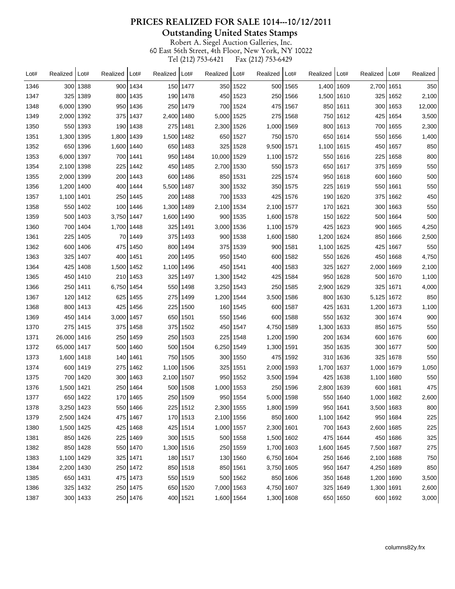**Outstanding United States Stamps** 

| Lot# | Realized     | Lot#     | Realized         | Lot#       | Realized   | Lot#       | Realized   | Lot#     | Realized     | Lot#     | Realized   | Lot#     | Realized   | Lot#     | Realized |
|------|--------------|----------|------------------|------------|------------|------------|------------|----------|--------------|----------|------------|----------|------------|----------|----------|
| 1346 |              | 300 1388 |                  | 900 1434   |            | 150 1477   | 350        | 1522     |              | 500 1565 | 1,400 1609 |          | 2,700 1651 |          | 350      |
| 1347 | 325          | 1389     | 800              | 1435       |            | 190 1478   |            | 450 1523 | 250          | 1566     | 1,500 1610 |          | 325        | 1652     | 2,100    |
| 1348 | 6.0001       | 1390     | 950              | 1436       | 250        | 1479       | 700        | 1524     | 475          | 1567     |            | 850 1611 | 300        | 1653     | 12,000   |
| 1349 | 2,000 1392   |          | 375              | 1437       | 2.400 1480 |            | 5,000      | 1525     |              | 275 1568 |            | 750 1612 | 425        | 1654     | 3,500    |
| 1350 |              | 550 1393 |                  | 190 1438   |            | 275 1481   | 2,300 1526 |          | 1,000 1569   |          |            | 800 1613 |            | 700 1655 | 2,300    |
| 1351 | 1,300 1395   |          | 1,800 1439       |            | 1,500 1482 |            | 650        | 1527     |              | 750 1570 |            | 650 1614 |            | 550 1656 | 1,400    |
| 1352 | 650          | 1396     | 1,600 1440       |            |            | 650 1483   | 325        | 1528     | 9,500 1571   |          | 1,100 1615 |          | 450        | 1657     | 850      |
| 1353 | 6.000 1397   |          |                  | 700   1441 |            | 950   1484 | 10,000     | 1529     | 1,100   1572 |          |            | 550 1616 | 225        | 1658     | 800      |
| 1354 | 2,100 1398   |          | 225              | 1442       |            | 450 1485   | 2,700      | 1530     |              | 550 1573 |            | 650 1617 |            | 375 1659 | 550      |
| 1355 | 2,000 1399   |          | 200 l            | 1443       |            | 600 1486   | 850        | 1531     | 225          | 1574     |            | 950 1618 | 600        | 1660     | 500      |
| 1356 | 1,200 1400   |          | 400              | 1444       | 5,500 1487 |            | 300        | 1532     | 350          | 1575     | 225        | 1619     | 550        | 1661     | 550      |
| 1357 | 1,100   1401 |          | 250              | 1445       |            | 200 1488   | 700        | 1533     | 425          | 1576     |            | 190 1620 | 375        | 1662     | 450      |
| 1358 |              | 550 1402 | 100 <sub>l</sub> | 1446       | 1,300 1489 |            | 2,100 1534 |          | 2,100 1577   |          |            | 170 1621 |            | 300 1663 | 550      |
| 1359 |              | 500 1403 | 3,750 1447       |            | 1,600 1490 |            | 900        | 1535     | 1,600 1578   |          |            | 150 1622 |            | 500 1664 | 500      |
| 1360 |              | 700 1404 | 1,700 1448       |            |            | 325 1491   | 3,000      | 1536     | 1,100 1579   |          | 425        | 1623     | 900        | 1665     | 4,250    |
| 1361 |              | 225 1405 | 70               | 1449       |            | 375 1493   | 900        | 1538     | 1,600   1580 |          | 1,200 1624 |          | 850        | 1666     | 2,500    |
| 1362 |              | 600 1406 |                  | 475 1450   |            | 800 1494   |            | 375 1539 |              | 900 1581 | 1,100 1625 |          | 425        | 1667     | 550      |
| 1363 | 325          | 1407     | 400              | 1451       |            | 200 1495   | 950        | 1540     | 600          | 1582     |            | 550 1626 | 450        | 1668     | 4,750    |
| 1364 | 425          | 1408     | 1,500            | 1452       | 1,100 1496 |            | 450        | 1541     | 400          | 1583     | 325        | 1627     | 2,000      | 1669     | 2,100    |
| 1365 |              | 450 1410 | 210              | 1453       |            | 325 1497   | 1,300      | 1542     | 425          | 1584     |            | 950 1628 |            | 500 1670 | 1,100    |
| 1366 |              | 250 1411 | 6,750 1454       |            |            | 550 1498   | 3,250 1543 |          | 250          | 1585     | 2,900 1629 |          | 325        | 1671     | 4,000    |
| 1367 |              | 120 1412 | 625              | 1455       |            | 275 1499   | 1,200 1544 |          | 3,500 1586   |          | 800        | 1630     | 5,125 1672 |          | 850      |
| 1368 |              | 800 1413 | 425              | 1456       |            | 225 1500   | 160        | 1545     | 600          | 1587     | 425        | 1631     | 1,200 1673 |          | 1,100    |
| 1369 |              | 450 1414 | 3,000   1457     |            |            | 650 1501   | 550        | 1546     |              | 600 1588 |            | 550 1632 | 300        | 1674     | 900      |
| 1370 |              | 275 1415 |                  | 375 1458   |            | 375 1502   |            | 450 1547 | 4,750 1589   |          | 1,300 1633 |          |            | 850 1675 | 550      |
| 1371 | 26,000 1416  |          | 250              | 1459       |            | 250 1503   | 225        | 1548     | 1,200 1590   |          |            | 200 1634 |            | 600 1676 | 600      |
| 1372 | 65,000 1417  |          | 500              | 1460       |            | 500 1504   | 6,250      | 1549     | 1,300 1591   |          |            | 350 1635 | 300        | 1677     | 500      |
| 1373 | 1,600 1418   |          | 140              | 1461       |            | 750 1505   | 300        | 1550     |              | 475 1592 |            | 310 1636 | 325        | 1678     | 550      |
| 1374 |              | 600 1419 | 275              | 1462       | 1,100 1506 |            | 325        | 1551     | 2,000 1593   |          | 1,700 1637 |          | 1.000 1679 |          | 1,050    |
| 1375 |              | 700 1420 | 300 l            | 1463       | 2,100 1507 |            | 950        | 1552     | 3,500 1594   |          | 425        | 1638     | 1,100 1680 |          | 550      |
| 1376 | 1,500 1421   |          | 250              | 1464       |            | 500 1508   | 1,000      | 1553     | 250          | 1596     | 2,800      | 1639     | 600        | 1681     | 475      |
| 1377 |              | 650 1422 |                  | 170 1465   |            | 250 1509   |            | 950 1554 | 5,000 1598   |          |            | 550 1640 | 1,000 1682 |          | 2,600    |
| 1378 | 3,250 1423   |          |                  | 550 1466   |            | 225 1512   | 2,300 1555 |          | 1,800 1599   |          |            | 950 1641 | 3,500 1683 |          | 800      |
| 1379 | 2,500 1424   |          |                  | 475 1467   |            | 170 1513   | 2,100 1556 |          |              | 850 1600 | 1,100 1642 |          |            | 950 1684 | 225      |
| 1380 | 1,500 1425   |          |                  | 425 1468   |            | 425 1514   | 1,000 1557 |          | 2,300 1601   |          |            | 700 1643 | 2,600 1685 |          | 225      |
| 1381 |              | 850 1426 |                  | 225 1469   |            | 300 1515   |            | 500 1558 | 1,500 1602   |          |            | 475 1644 |            | 450 1686 | 325      |
| 1382 |              | 850 1428 |                  | 550 1470   | 1,300 1516 |            |            | 250 1559 | 1,700 1603   |          | 1,600 1645 |          | 7,500 1687 |          | 275      |
| 1383 | 1,100 1429   |          |                  | 325 1471   |            | 180 1517   |            | 130 1560 | 6,750 1604   |          |            | 250 1646 | 2,100 1688 |          | 750      |
| 1384 | 2,200 1430   |          |                  | 250 1472   |            | 850 1518   |            | 850 1561 | 3,750 1605   |          |            | 950 1647 | 4,250 1689 |          | 850      |
| 1385 |              | 650 1431 |                  | 475 1473   |            | 550 1519   |            | 500 1562 |              | 850 1606 |            | 350 1648 | 1,200 1690 |          | 3,500    |
| 1386 |              | 325 1432 |                  | 250 1475   |            | 650 1520   | 7,000 1563 |          | 4,750 1607   |          |            | 325 1649 | 1,300 1691 |          | 2,600    |
| 1387 |              | 300 1433 |                  | 250 1476   |            | 400 1521   | 1,600 1564 |          | 1,300 1608   |          |            | 650 1650 |            | 600 1692 | 3,000    |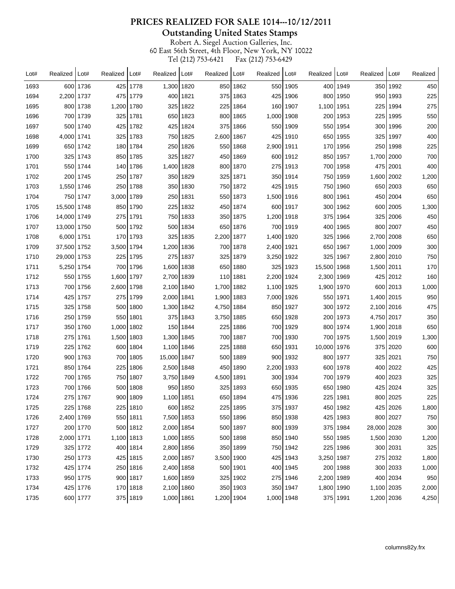**Outstanding United States Stamps** 

| Lot# | Realized      | Lot#     | Realized     | Lot#       | Realized      | Lot#     | Realized   Lot# |          | Realized     | Lot#       | Realized   | Lot#       | Realized     | Lot#       | Realized |
|------|---------------|----------|--------------|------------|---------------|----------|-----------------|----------|--------------|------------|------------|------------|--------------|------------|----------|
| 1693 |               | 600 1736 |              | 425 1778   | 1,300 1820    |          |                 | 850 1862 |              | 550 1905   | 400 l      | 1949       |              | 350 1992   | 450      |
| 1694 | 2,200 1737    |          | 475 l        | 1779       |               | 400 1821 |                 | 375 1863 | 425          | 1906       | 800 l      | 1950       |              | 950 1993   | 225      |
| 1695 |               | 800 1738 | 1,200 1780   |            |               | 325 1822 | 225             | 1864     | 160          | 1907       | 1,100      | 1951       | 225          | 1994       | 275      |
| 1696 |               | 700 1739 | 325          | 1781       |               | 650 1823 | 800             | 1865     | 1,000   1908 |            |            | 200 1953   |              | 225 1995   | 550      |
| 1697 |               | 500 1740 |              | 425 1782   |               | 425 1824 |                 | 375 1866 |              | 550   1909 |            | 550 1954   |              | 300 1996   | 200      |
| 1698 | 4,000 1741    |          |              | 325 1783   |               | 750 1825 | 2,600 1867      |          | 425          | 1910       |            | 650 1955   |              | 325 1997   | 400      |
| 1699 |               | 650 1742 |              | 180 1784   |               | 250 1826 | 550             | 1868     | 2,900   1911 |            | 170        | 1956       | 250          | 1998       | 225      |
| 1700 |               | 325 1743 |              | 850 1785   |               | 325 1827 |                 | 450 1869 |              | 600 1912   |            | 850 1957   | 1,700 2000   |            | 700      |
| 1701 |               | 550 1744 |              | 140 1786   | 1,400 1828    |          |                 | 800 1870 |              | 275 1913   |            | 700 1958   |              | 475 2001   | 400      |
| 1702 |               | 200 1745 |              | 250   1787 |               | 350 1829 |                 | 325 1871 |              | 350   1914 |            | 750 1959   | 1,600 2002   |            | 1,200    |
| 1703 | 1,550 1746    |          | 250          | 1788       |               | 350 1830 |                 | 750 1872 | 425          | 1915       | 750        | 1960       |              | 650 2003   | 650      |
| 1704 |               | 750 1747 | 3,000   1789 |            |               | 250 1831 |                 | 550 1873 | 1,500   1916 |            |            | 800   1961 |              | 450   2004 | 650      |
| 1705 | 15,500 1748   |          |              | 850 1790   |               | 225 1832 |                 | 450 1874 |              | 600 1917   |            | 300 1962   |              | 600 2005   | 1,300    |
| 1706 | 14,000   1749 |          | 2751         | 1791       |               | 750 1833 |                 | 350 1875 | 1,200 1918   |            | 375 I      | 1964       |              | 325 2006   | 450      |
| 1707 | 13,000 1750   |          |              | 500 1792   |               | 500 1834 | 650             | 1876     |              | 700   1919 | 400        | 1965       |              | 800   2007 | 450      |
| 1708 | 6,000 1751    |          | 170          | 1793       |               | 325 1835 | 2,200 1877      |          | 1,400 1920   |            | 325 I      | 1966       | 2,700 2008   |            | 650      |
| 1709 | 37,500 1752   |          | 3,500   1794 |            | 1,200 1836    |          |                 | 700 1878 | 2,400 1921   |            | 650        | 1967       | 1,000 2009   |            | 300      |
| 1710 | 29,000 1753   |          |              | 225 1795   |               | 275 1837 |                 | 325 1879 | 3,250   1922 |            | 325        | 1967       | 2,800 2010   |            | 750      |
| 1711 | 5,250 1754    |          |              | 700 1796   | 1,600 1838    |          |                 | 650 1880 | 325          | 1923       | 15,500     | 1968       | 1,500 2011   |            | 170      |
| 1712 |               | 550 1755 | 1,600 1797   |            | 2,700   1839  |          |                 | 110 1881 | 2,200 1924   |            | 2,300 1969 |            |              | 425 2012   | 160      |
| 1713 |               | 700 1756 | 2,600   1798 |            | 2,100   1840  |          | 1,700 1882      |          | 1,100   1925 |            | 1,900      | 1970       |              | 600 2013   | 1,000    |
| 1714 | 425           | 1757     | 2751         | 1799       | 2,000 1841    |          | 1,900 1883      |          | 7,000   1926 |            |            | 550   1971 | 1,400 2015   |            | 950      |
| 1715 | 325           | 1758     | 500          | 1800       | 1,300   1842  |          | 4,750   1884    |          |              | 850 1927   | 300        | 1972       | 2,100 2016   |            | 475      |
| 1716 |               | 250 1759 |              | 550 1801   |               | 375 1843 | 3,750 1885      |          |              | 650   1928 |            | 200 1973   | 4,750   2017 |            | 350      |
| 1717 |               | 350 1760 | 1,000   1802 |            |               | 150 1844 | 225             | 1886     |              | 700 1929   |            | 800   1974 | 1,900 2018   |            | 650      |
| 1718 |               | 275 1761 | 1,500   1803 |            | 1,300 1845    |          |                 | 700 1887 |              | 700 1930   |            | 700 1975   | 1,500 2019   |            | 1,300    |
| 1719 | 225           | 1762     | 600          | 1804       | 1,100   1846  |          | 225             | 1888     |              | 650 1931   | 10,000     | 1976       |              | 375 2020   | 600      |
| 1720 |               | 900 1763 |              | 700 1805   | 15,000   1847 |          | 500             | 1889     |              | 900 1932   |            | 800 1977   |              | 325 2021   | 750      |
| 1721 |               | 850 1764 | 225          | 1806       | 2,500 1848    |          | 4501            | 1890     | 2,200 1933   |            |            | 600 1978   |              | 400 2022   | 425      |
| 1722 |               | 700 1765 | 750          | 1807       | 3,750 1849    |          | 4,500 1891      |          |              | 300 1934   |            | 700 1979   |              | 400 2023   | 325      |
| 1723 |               | 700 1766 |              | 500 1808   |               | 950 1850 |                 | 325 1893 |              | 650 1935   |            | 650 1980   |              | 425 2024   | 325      |
| 1724 |               | 275 1767 |              | $900$ 1809 | 1,100 1851    |          |                 | 650 1894 |              | 475 1936   |            | 225 1981   |              | 800 2025   | 225      |
| 1725 |               | 225 1768 |              | 225 1810   |               | 600 1852 |                 | 225 1895 |              | 375 1937   |            | 450 1982   |              | 425 2026   | 1,800    |
| 1726 | 2,400 1769    |          |              | 550 1811   | 7,500 1853    |          |                 | 550 1896 |              | 850 1938   |            | 425 1983   |              | 800 2027   | 750      |
| 1727 |               | 200 1770 |              | 500 1812   | 2,000 1854    |          |                 | 500 1897 |              | 800 1939   |            | 375 1984   | 28,000 2028  |            | 300      |
| 1728 | 2,000 1771    |          | 1,100 1813   |            | 1,000 1855    |          |                 | 500 1898 |              | 850 1940   |            | 550 1985   | 1,500 2030   |            | 1,200    |
| 1729 |               | 325 1772 |              | 400 1814   | 2,800 1856    |          |                 | 350 1899 |              | 750 1942   |            | 225 1986   |              | 300 2031   | 325      |
| 1730 |               | 250 1773 |              | 425 1815   | 2,000 1857    |          | 3,500 1900      |          |              | 425 1943   | 3,250 1987 |            |              | 275 2032   | 1,800    |
| 1732 |               | 425 1774 |              | 250 1816   | 2,400 1858    |          |                 | 500 1901 |              | 400 1945   |            | 200 1988   |              | 300 2033   | 1,000    |
| 1733 |               | 950 1775 |              | 900 1817   | 1,600 1859    |          |                 | 325 1902 |              | 275 1946   | 2,200 1989 |            |              | 400 2034   | 950      |
| 1734 |               | 425 1776 |              | 170 1818   | 2,100 1860    |          |                 | 350 1903 |              | 350 1947   | 1,800 1990 |            | 1,100 2035   |            | 2,000    |
| 1735 |               | 600 1777 |              | 375 1819   | 1,000 1861    |          | 1,200 1904      |          | 1,000 1948   |            |            | 375 1991   | 1,200 2036   |            | 4,250    |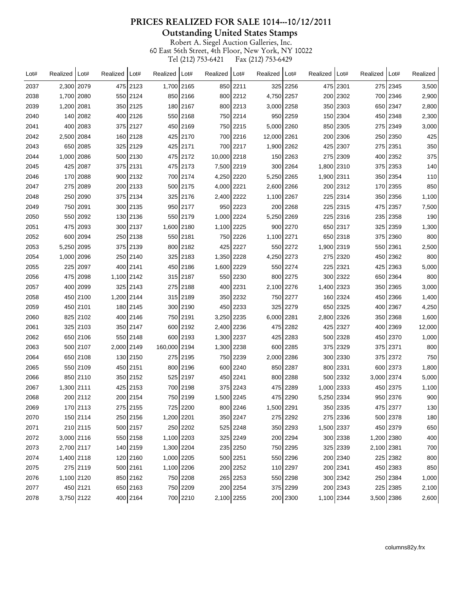**Outstanding United States Stamps** 

| Lot# | Realized   | Lot#     | Realized   | Lot#     | Realized     | Lot#     | Realized    | Lot#     | Realized    | Lot#     | Realized   | Lot#     | Realized   | Lot#       | Realized |
|------|------------|----------|------------|----------|--------------|----------|-------------|----------|-------------|----------|------------|----------|------------|------------|----------|
| 2037 | 2,300 2079 |          |            | 475 2123 | 1,700 2165   |          |             | 850 2211 |             | 325 2256 |            | 475 2301 |            | 275 2345   | 3,500    |
| 2038 | 1,700 2080 |          |            | 550 2124 |              | 850 2166 |             | 800 2212 | 4,750 2257  |          |            | 200 2302 |            | 700 2346   | 2,900    |
| 2039 | 1,200 2081 |          |            | 350 2125 |              | 180 2167 |             | 800 2213 | 3,000 2258  |          |            | 350 2303 |            | 650 2347   | 2,800    |
| 2040 |            | 140 2082 |            | 400 2126 |              | 550 2168 |             | 750 2214 |             | 950 2259 |            | 150 2304 |            | 450 2348   | 2,300    |
| 2041 |            | 400 2083 |            | 375 2127 |              | 450 2169 |             | 750 2215 | 5,000 2260  |          |            | 850 2305 |            | 275 2349   | 3,000    |
| 2042 | 2,500 2084 |          |            | 160 2128 |              | 425 2170 |             | 700 2216 | 12,000 2261 |          |            | 200 2306 |            | 250 2350   | 425      |
| 2043 |            | 650 2085 |            | 325 2129 |              | 425 2171 |             | 700 2217 | 1,900 2262  |          |            | 425 2307 |            | 275 2351   | 350      |
| 2044 | 1,000 2086 |          |            | 500 2130 |              | 475 2172 | 10,000 2218 |          |             | 150 2263 |            | 275 2309 |            | 400 2352   | 375      |
| 2045 |            | 425 2087 |            | 375 2131 |              | 475 2173 | 7,500 2219  |          |             | 300 2264 | 1,800 2310 |          |            | 375 2353   | 140      |
| 2046 |            | 170 2088 |            | 900 2132 |              | 700 2174 | 4,250 2220  |          | 5,250 2265  |          | 1,900 2311 |          |            | 350 2354   | 110      |
| 2047 |            | 275 2089 |            | 200 2133 |              | 500 2175 | 4,000 2221  |          | 2,600 2266  |          |            | 200 2312 |            | 170 2355   | 850      |
| 2048 |            | 250 2090 |            | 375 2134 |              | 325 2176 | 2,400 2222  |          | 1,100 2267  |          |            | 225 2314 |            | 350 2356   | 1,100    |
| 2049 |            | 750 2091 |            | 300 2135 |              | 950 2177 |             | 950 2223 |             | 200 2268 |            | 225 2315 |            | 475 2357   | 7,500    |
| 2050 |            | 550 2092 |            | 130 2136 |              | 550 2179 | 1,000 2224  |          | 5,250 2269  |          |            | 225 2316 |            | 235 2358   | 190      |
| 2051 |            | 475 2093 |            | 300 2137 | 1,600 2180   |          | 1,100 2225  |          |             | 900 2270 |            | 650 2317 |            | 325 2359   | 1,300    |
| 2052 |            | 600 2094 |            | 250 2138 |              | 550 2181 |             | 750 2226 | 1,100 2271  |          |            | 650 2318 |            | 375 2360   | 800      |
| 2053 | 5,250 2095 |          |            | 375 2139 |              | 800 2182 |             | 425 2227 |             | 550 2272 | 1,900 2319 |          |            | 550 2361   | 2,500    |
| 2054 | 1,000 2096 |          |            | 250 2140 |              | 325 2183 | 1,350 2228  |          | 4,250 2273  |          |            | 275 2320 |            | 450   2362 | 800      |
| 2055 |            | 225 2097 |            | 400 2141 |              | 450 2186 | 1,600 2229  |          |             | 550 2274 |            | 225 2321 |            | 425 2363   | 5,000    |
| 2056 |            | 475 2098 | 1,100 2142 |          |              | 315 2187 |             | 550 2230 |             | 800 2275 |            | 300 2322 |            | 650 2364   | 800      |
| 2057 |            | 400 2099 |            | 325 2143 |              | 275 2188 |             | 400 2231 | 2,100 2276  |          | 1,400 2323 |          |            | 350 2365   | 3,000    |
| 2058 |            | 450 2100 | 1,200 2144 |          |              | 315 2189 |             | 350 2232 |             | 750 2277 |            | 160 2324 |            | 450 2366   | 1,400    |
| 2059 |            | 450 2101 |            | 180 2145 |              | 300 2190 |             | 450 2233 |             | 325 2279 |            | 650 2325 |            | 400 2367   | 4,250    |
| 2060 |            | 825 2102 |            | 400 2146 |              | 750 2191 | 3,250 2235  |          | 6,000 2281  |          | 2,800 2326 |          |            | 350 2368   | 1,600    |
| 2061 |            | 325 2103 |            | 350 2147 |              | 600 2192 | 2,400 2236  |          |             | 475 2282 |            | 425 2327 |            | 400 2369   | 12,000   |
| 2062 |            | 650 2106 |            | 550 2148 |              | 600 2193 | 1,300 2237  |          |             | 425 2283 |            | 500 2328 |            | 450 2370   | 1,000    |
| 2063 |            | 500 2107 | 2,000 2149 |          | 160,000 2194 |          | 1,300 2238  |          |             | 600 2285 |            | 375 2329 |            | 375 2371   | 800      |
| 2064 |            | 650 2108 |            | 130 2150 |              | 275 2195 |             | 750 2239 | 2,000 2286  |          |            | 300 2330 |            | 375 2372   | 750      |
| 2065 |            | 550 2109 |            | 450 2151 |              | 800 2196 |             | 600 2240 |             | 850 2287 |            | 800 2331 |            | 600 2373   | 1,800    |
| 2066 |            | 850 2110 |            | 350 2152 |              | 525 2197 |             | 450 2241 |             | 800 2288 |            | 500 2332 | 3,000 2374 |            | 5,000    |
| 2067 | 1,300 2111 |          |            | 425 2153 |              | 700 2198 |             | 375 2243 |             | 475 2289 | 1,000 2333 |          |            | 450 2375   | 1,100    |
| 2068 |            | 200 2112 |            | 200 2154 |              | 750 2199 | 1,500 2245  |          |             | 475 2290 | 5,250 2334 |          |            | 950 2376   | 900      |
| 2069 |            | 170 2113 |            | 275 2155 |              | 725 2200 |             | 800 2246 | 1,500 2291  |          |            | 350 2335 |            | 475 2377   | 130      |
| 2070 |            | 150 2114 |            | 250 2156 | 1,200 2201   |          |             | 350 2247 |             | 275 2292 |            | 275 2336 |            | 500 2378   | 180      |
| 2071 |            | 210 2115 |            | 500 2157 |              | 250 2202 |             | 525 2248 |             | 350 2293 | 1,500 2337 |          |            | 450 2379   | 650      |
| 2072 | 3,000 2116 |          |            | 550 2158 | 1,100 2203   |          |             | 325 2249 |             | 200 2294 |            | 300 2338 | 1,200 2380 |            | 400      |
| 2073 | 2,700 2117 |          |            | 140 2159 | 1,300 2204   |          |             | 235 2250 |             | 750 2295 |            | 325 2339 | 2,100 2381 |            | 700      |
| 2074 | 1,400 2118 |          |            | 120 2160 | 1,000 2205   |          |             | 500 2251 |             | 550 2296 |            | 200 2340 |            | 225 2382   | 800      |
| 2075 |            | 275 2119 |            | 500 2161 | 1,100 2206   |          |             | 200 2252 |             | 110 2297 |            | 200 2341 |            | 450 2383   | 850      |
| 2076 | 1,100 2120 |          |            | 850 2162 |              | 750 2208 |             | 265 2253 |             | 550 2298 |            | 300 2342 |            | 250 2384   | 1,000    |
| 2077 |            | 450 2121 |            | 650 2163 |              | 750 2209 |             | 200 2254 |             | 375 2299 |            | 200 2343 |            | 225 2385   | 2,100    |
| 2078 | 3,750 2122 |          |            | 400 2164 |              | 700 2210 | 2,100 2255  |          |             | 200 2300 | 1,100 2344 |          | 3,500 2386 |            | 2,600    |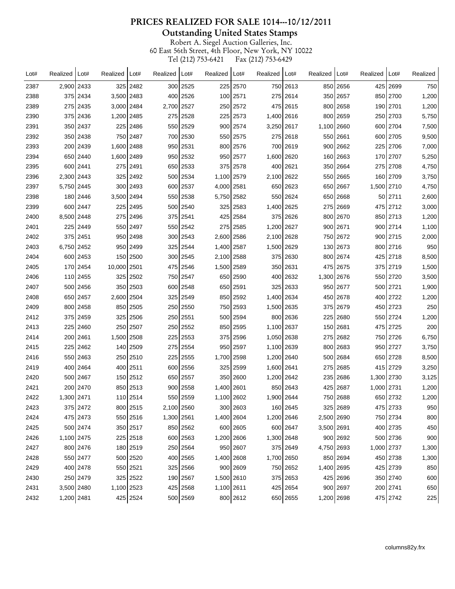**Outstanding United States Stamps** 

| Lot# | Realized     | Lot#     | Realized    | Lot#       | Realized   | Lot#         | Realized   | Lot#         | Realized     | Lot#     | Realized   | Lot#     | Realized   | Lot#     | Realized |
|------|--------------|----------|-------------|------------|------------|--------------|------------|--------------|--------------|----------|------------|----------|------------|----------|----------|
| 2387 | 2,900 2433   |          |             | 325 2482   |            | 300 2525     |            | 225 2570     |              | 750 2613 |            | 850 2656 |            | 425 2699 | 750      |
| 2388 |              | 375 2434 | 3,500 2483  |            |            | 400 2526     |            | 100 2571     |              | 275 2614 |            | 350 2657 |            | 850 2700 | 1,200    |
| 2389 |              | 275 2435 | 3,000 2484  |            | 2,700      | 2527         |            | 250 2572     |              | 475 2615 |            | 800 2658 | 190        | 2701     | 1,200    |
| 2390 |              | 375 2436 | 1,200 2485  |            |            | 275 2528     |            | 225 2573     | 1,400   2616 |          |            | 800 2659 |            | 250 2703 | 5,750    |
| 2391 |              | 350 2437 |             | 225 2486   |            | 550 2529     |            | 900 2574     | 3,250 2617   |          | 1,100 2660 |          |            | 600 2704 | 7,500    |
| 2392 |              | 350 2438 |             | 750 2487   |            | 700 2530     |            | 550 2575     |              | 275 2618 |            | 550 2661 |            | 600 2705 | 9,500    |
| 2393 |              | 200 2439 | 1,600 2488  |            |            | 950 2531     |            | 800 2576     |              | 700 2619 |            | 900 2662 |            | 225 2706 | 7,000    |
| 2394 |              | 650 2440 | 1,600 2489  |            |            | 950 2532     |            | 950 2577     | 1,600 2620   |          |            | 160 2663 |            | 170 2707 | 5,250    |
| 2395 |              | 600 2441 |             | 275 2491   |            | 650 2533     |            | 375 2578     |              | 400 2621 |            | 350 2664 |            | 275 2708 | 4,750    |
| 2396 | 2,300 2443   |          |             | 325 2492   |            | 500 2534     | 1,100 2579 |              | 2,100 2622   |          |            | 550 2665 |            | 160 2709 | 3,750    |
| 2397 | 5,750 2445   |          |             | 300 2493   |            | 600 2537     | 4,000 2581 |              |              | 650 2623 |            | 650 2667 | 1,500 2710 |          | 4,750    |
| 2398 |              | 180 2446 | 3,500 2494  |            |            | 550 2538     | 5,750 2582 |              |              | 550 2624 |            | 650 2668 |            | 50 2711  | 2,600    |
| 2399 |              | 600 2447 |             | 225 2495   |            | 500 2540     |            | 325 2583     | 1,400 2625   |          |            | 275 2669 |            | 475 2712 | 3,000    |
| 2400 | 8,500 2448   |          |             | 275 2496   |            | 375 2541     |            | 425 2584     |              | 375 2626 |            | 800 2670 |            | 850 2713 | 1,200    |
| 2401 |              | 225 2449 |             | 550 2497   |            | 550 2542     |            | 275 2585     | 1,200 2627   |          |            | 900 2671 |            | 900 2714 | 1,100    |
| 2402 |              | 375 2451 |             | 950   2498 |            | 300 2543     | 2,600 2586 |              | 2,100 2628   |          |            | 750 2672 |            | 900 2715 | 2,000    |
| 2403 | 6,750 2452   |          |             | 950 2499   |            | 325 2544     | 1,400 2587 |              | 1,500 2629   |          |            | 130 2673 |            | 800 2716 | 950      |
| 2404 |              | 600 2453 |             | 150 2500   |            | 300 2545     | 2,100 2588 |              |              | 375 2630 |            | 800 2674 |            | 425 2718 | 8,500    |
| 2405 |              | 170 2454 | 10,000 2501 |            |            | 475 2546     | 1,500 2589 |              |              | 350 2631 |            | 475 2675 |            | 375 2719 | 1,500    |
| 2406 |              | 110 2455 |             | 325 2502   |            | 750 2547     |            | 650 2590     |              | 400 2632 | 1,300 2676 |          |            | 550 2720 | 3,500    |
| 2407 |              | 500 2456 |             | 350 2503   |            | 600 2548     |            | 650 2591     |              | 325 2633 |            | 950 2677 |            | 500 2721 | 1,900    |
| 2408 |              | 650 2457 | 2,600 2504  |            |            | 325 2549     |            | 850 2592     | 1,400 2634   |          |            | 450 2678 |            | 400 2722 | 1,200    |
| 2409 |              | 800 2458 |             | 850 2505   |            | 250 2550     |            | 750 2593     | 1,500 2635   |          |            | 375 2679 |            | 450 2723 | 250      |
| 2412 |              | 375 2459 |             | 325 2506   |            | 250 2551     |            | 500 2594     |              | 800 2636 |            | 225 2680 |            | 550 2724 | 1,200    |
| 2413 |              | 225 2460 |             | 250 2507   |            | 250 2552     |            | 850 2595     | 1,100 2637   |          |            | 150 2681 |            | 475 2725 | 200      |
| 2414 |              | 200 2461 | 1,500 2508  |            |            | 225 2553     |            | 375 2596     | 1,050   2638 |          |            | 275 2682 |            | 750 2726 | 6,750    |
| 2415 | 225          | 2462     |             | 140 2509   |            | 275 2554     |            | 950 2597     | 1,100 2639   |          |            | 800 2683 | 950        | 2727     | 3,750    |
| 2416 |              | 550 2463 |             | 250 2510   |            | 225 2555     | 1,700 2598 |              | 1,200   2640 |          |            | 500 2684 |            | 650 2728 | 8,500    |
| 2419 |              | 400 2464 |             | 400 2511   |            | 600 2556     |            | 325 2599     | 1,600 2641   |          |            | 275 2685 |            | 415 2729 | 3,250    |
| 2420 |              | 500 2467 |             | 150 2512   |            | 650 2557     |            | 350 2600     | 1,200 2642   |          |            | 235 2686 | 1,300 2730 |          | 3,125    |
| 2421 | 200          | 2470     |             | 850 2513   |            | $900$   2558 | 1,400 2601 |              |              | 850 2643 |            | 425 2687 | 1,000 2731 |          | 1,200    |
| 2422 | 1,300   2471 |          |             | 110 2514   |            | 550 2559     | 1,100 2602 |              | 1,900 2644   |          |            | 750 2688 |            | 650 2732 | 1,200    |
| 2423 |              | 375 2472 |             | 800 2515   | 2,100 2560 |              |            | 300 2603     |              | 160 2645 |            | 325 2689 |            | 475 2733 | 950      |
| 2424 |              | 475 2473 |             | 550 2516   | 1,300 2561 |              | 1,400 2604 |              | 1,200 2646   |          | 2,500 2690 |          |            | 750 2734 | 800      |
| 2425 |              | 500 2474 |             | 350 2517   |            | 850 2562     |            | 600 2605     |              | 600 2647 | 3,500 2691 |          |            | 400 2735 | 450      |
| 2426 | 1,100 2475   |          |             | 225 2518   |            | 600 2563     | 1,200 2606 |              | 1,300 2648   |          |            | 900 2692 |            | 500 2736 | 900      |
| 2427 |              | 800 2476 |             | 180 2519   |            | 250 2564     |            | 950 2607     |              | 375 2649 | 4,750 2693 |          | 1,000 2737 |          | 1,300    |
| 2428 |              | 550 2477 |             | 500 2520   |            | 400 2565     | 1,400 2608 |              | 1,700 2650   |          |            | 850 2694 |            | 450 2738 | 1,300    |
| 2429 |              | 400 2478 |             | 550 2521   |            | 325 2566     |            | $900$   2609 |              | 750 2652 | 1,400 2695 |          |            | 425 2739 | 850      |
| 2430 |              | 250 2479 |             | 325 2522   |            | 190 2567     | 1,500 2610 |              |              | 375 2653 |            | 425 2696 |            | 350 2740 | 600      |
| 2431 | 3,500 2480   |          | 1,100 2523  |            |            | 425 2568     | 1,100 2611 |              |              | 425 2654 |            | 900 2697 |            | 200 2741 | 650      |
| 2432 | 1,200 2481   |          |             | 425 2524   |            | 500 2569     |            | 800 2612     |              | 650 2655 | 1,200 2698 |          |            | 475 2742 | 225      |